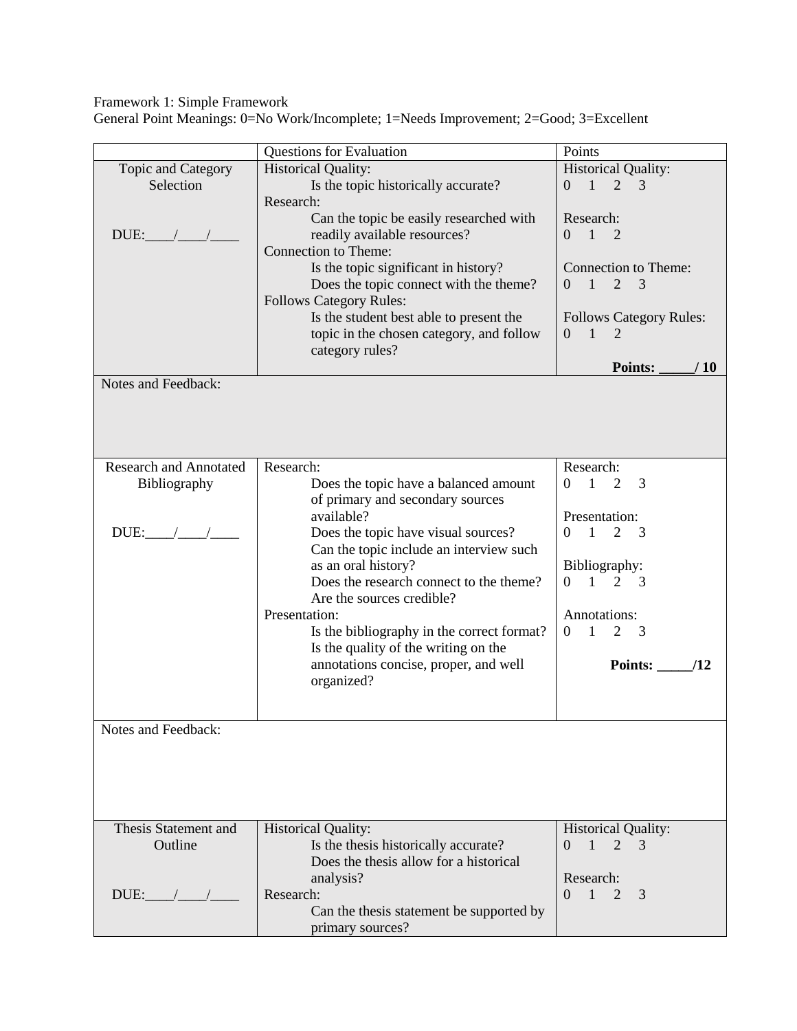Framework 1: Simple Framework

General Point Meanings: 0=No Work/Incomplete; 1=Needs Improvement; 2=Good; 3=Excellent

|                               | <b>Questions for Evaluation</b>                  | Points                                                  |
|-------------------------------|--------------------------------------------------|---------------------------------------------------------|
| Topic and Category            | <b>Historical Quality:</b>                       | <b>Historical Quality:</b>                              |
| Selection                     |                                                  | $\overline{1}$<br>$\overline{2}$<br>$\overline{0}$<br>3 |
|                               | Is the topic historically accurate?<br>Research: |                                                         |
|                               |                                                  |                                                         |
|                               | Can the topic be easily researched with          | Research:                                               |
| $DUE:$ $\angle$ $\angle$      | readily available resources?                     | $0 \t1 \t2$                                             |
|                               | <b>Connection to Theme:</b>                      |                                                         |
|                               | Is the topic significant in history?             | <b>Connection to Theme:</b>                             |
|                               | Does the topic connect with the theme?           | $\overline{1}$<br>2<br>3<br>$\Omega$                    |
|                               | <b>Follows Category Rules:</b>                   |                                                         |
|                               | Is the student best able to present the          | <b>Follows Category Rules:</b>                          |
|                               | topic in the chosen category, and follow         | $0 \quad 1$<br>2                                        |
|                               | category rules?                                  |                                                         |
|                               |                                                  | <b>Points:</b><br>/10                                   |
| Notes and Feedback:           |                                                  |                                                         |
|                               |                                                  |                                                         |
|                               |                                                  |                                                         |
|                               |                                                  |                                                         |
|                               |                                                  |                                                         |
| <b>Research and Annotated</b> | Research:                                        | Research:                                               |
| Bibliography                  | Does the topic have a balanced amount            | $\sim$ 1<br>2<br>3<br>$\theta$                          |
|                               | of primary and secondary sources                 |                                                         |
|                               | available?                                       | Presentation:                                           |
| $DUE:$ / /                    | Does the topic have visual sources?              | 2<br>$\overline{0}$<br>$\sim$ 1<br>$\overline{3}$       |
|                               | Can the topic include an interview such          |                                                         |
|                               | as an oral history?                              | Bibliography:                                           |
|                               | Does the research connect to the theme?          | $\sim$ 1<br>2 3<br>$\Omega$                             |
|                               | Are the sources credible?                        |                                                         |
|                               | Presentation:                                    | Annotations:                                            |
|                               | Is the bibliography in the correct format?       | $\overline{1}$<br>$\overline{2}$<br>$\overline{0}$<br>3 |
|                               | Is the quality of the writing on the             |                                                         |
|                               | annotations concise, proper, and well            | <b>Points:</b><br>/12                                   |
|                               | organized?                                       |                                                         |
|                               |                                                  |                                                         |
|                               |                                                  |                                                         |
| Notes and Feedback:           |                                                  |                                                         |
|                               |                                                  |                                                         |
|                               |                                                  |                                                         |
|                               |                                                  |                                                         |
|                               |                                                  |                                                         |
|                               |                                                  |                                                         |
| Thesis Statement and          | <b>Historical Quality:</b>                       | <b>Historical Quality:</b>                              |
| Outline                       | Is the thesis historically accurate?             | $\mathbf{1}$<br>$\Omega$<br>2<br>3                      |
|                               | Does the thesis allow for a historical           |                                                         |
|                               | analysis?                                        | Research:                                               |
| $DUE:$ $/$ $/$                | Research:                                        | $\Omega$<br>1<br>2<br>3                                 |
|                               | Can the thesis statement be supported by         |                                                         |
|                               | primary sources?                                 |                                                         |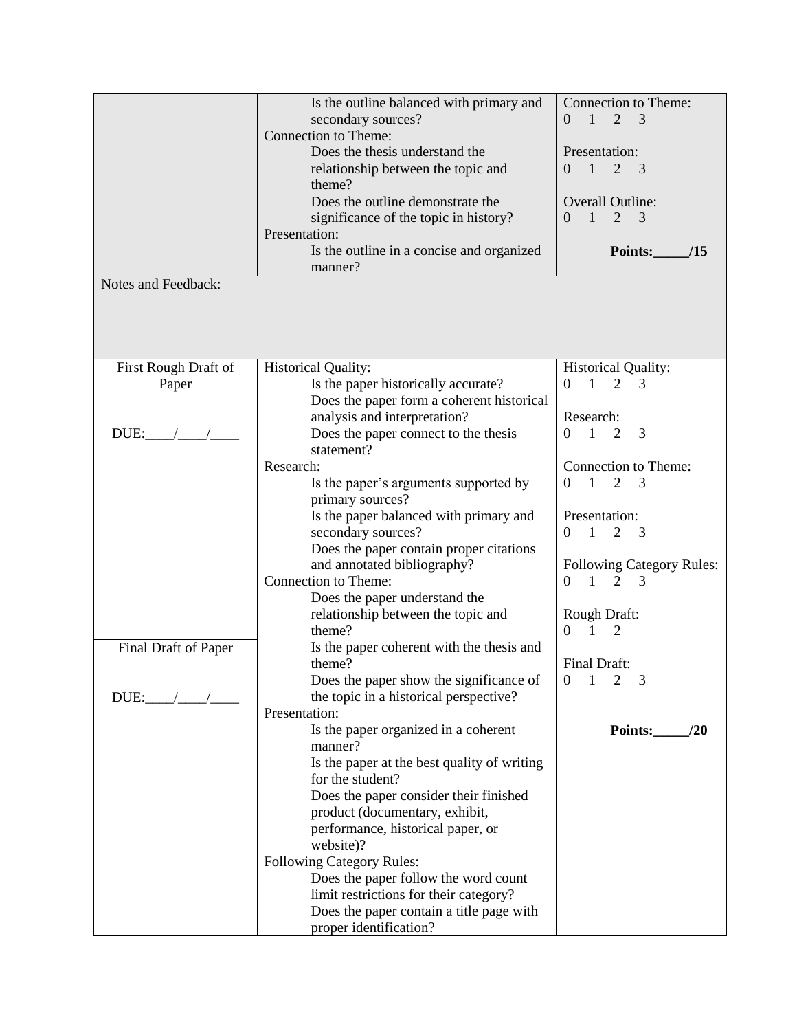|                      | Is the outline balanced with primary and    | <b>Connection to Theme:</b>                       |
|----------------------|---------------------------------------------|---------------------------------------------------|
|                      |                                             | $\overline{2}$<br>$\mathbf{1}$<br>3<br>$\Omega$   |
|                      | secondary sources?                          |                                                   |
|                      | <b>Connection to Theme:</b>                 |                                                   |
|                      | Does the thesis understand the              | Presentation:                                     |
|                      | relationship between the topic and          | $\overline{1}$<br>2<br>$\overline{3}$<br>$\Omega$ |
|                      | theme?                                      |                                                   |
|                      | Does the outline demonstrate the            | <b>Overall Outline:</b>                           |
|                      | significance of the topic in history?       | $\overline{2}$<br>$\mathbf{1}$<br>3<br>$\Omega$   |
|                      | Presentation:                               |                                                   |
|                      |                                             | <b>Points:</b><br>/15                             |
|                      | Is the outline in a concise and organized   |                                                   |
|                      | manner?                                     |                                                   |
| Notes and Feedback:  |                                             |                                                   |
|                      |                                             |                                                   |
|                      |                                             |                                                   |
|                      |                                             |                                                   |
|                      |                                             |                                                   |
| First Rough Draft of | <b>Historical Quality:</b>                  | <b>Historical Quality:</b>                        |
| Paper                | Is the paper historically accurate?         | 1<br>$\overline{2}$<br>3<br>0                     |
|                      | Does the paper form a coherent historical   |                                                   |
|                      | analysis and interpretation?                | Research:                                         |
| DUE:                 | Does the paper connect to the thesis        | $\overline{1}$<br>$\overline{2}$<br>3<br>0        |
|                      |                                             |                                                   |
|                      | statement?                                  |                                                   |
|                      | Research:                                   | Connection to Theme:                              |
|                      | Is the paper's arguments supported by       | 1<br>$\overline{2}$<br>3<br>$\Omega$              |
|                      | primary sources?                            |                                                   |
|                      | Is the paper balanced with primary and      | Presentation:                                     |
|                      | secondary sources?                          | $\mathbf{1}$<br>2<br>0<br>3                       |
|                      | Does the paper contain proper citations     |                                                   |
|                      | and annotated bibliography?                 | <b>Following Category Rules:</b>                  |
|                      | Connection to Theme:                        | $\overline{1}$<br>2<br>$\overline{0}$<br>3        |
|                      |                                             |                                                   |
|                      | Does the paper understand the               |                                                   |
|                      | relationship between the topic and          | Rough Draft:                                      |
|                      | theme?                                      | $\mathbf{1}$<br>$\overline{2}$<br>$\Omega$        |
| Final Draft of Paper | Is the paper coherent with the thesis and   |                                                   |
|                      | theme?                                      | Final Draft:                                      |
|                      | Does the paper show the significance of     | $\mathbf{0}$<br>$1\quad 2$                        |
| DUE:                 | the topic in a historical perspective?      |                                                   |
|                      | Presentation:                               |                                                   |
|                      | Is the paper organized in a coherent        | Points:<br>/20                                    |
|                      | manner?                                     |                                                   |
|                      |                                             |                                                   |
|                      | Is the paper at the best quality of writing |                                                   |
|                      | for the student?                            |                                                   |
|                      | Does the paper consider their finished      |                                                   |
|                      | product (documentary, exhibit,              |                                                   |
|                      | performance, historical paper, or           |                                                   |
|                      | website)?                                   |                                                   |
|                      | <b>Following Category Rules:</b>            |                                                   |
|                      | Does the paper follow the word count        |                                                   |
|                      | limit restrictions for their category?      |                                                   |
|                      | Does the paper contain a title page with    |                                                   |
|                      |                                             |                                                   |
|                      | proper identification?                      |                                                   |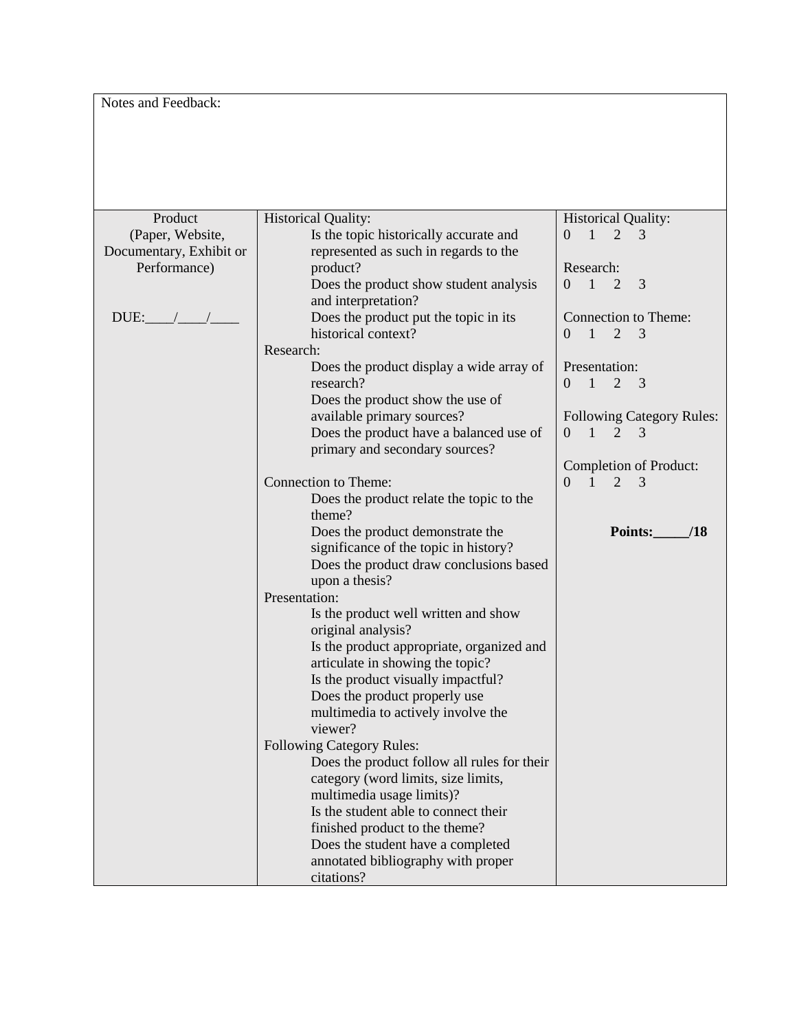Notes and Feedback:

| Product                 | <b>Historical Quality:</b>                  | <b>Historical Quality:</b>                                       |
|-------------------------|---------------------------------------------|------------------------------------------------------------------|
| (Paper, Website,        | Is the topic historically accurate and      | $1 \quad 2$<br>$\overline{0}$<br>3                               |
| Documentary, Exhibit or | represented as such in regards to the       |                                                                  |
| Performance)            | product?                                    | Research:                                                        |
|                         | Does the product show student analysis      | $\overline{1}$<br>3<br>2<br>$\Omega$                             |
|                         | and interpretation?                         |                                                                  |
| $DUE:$ $/$ $/$          | Does the product put the topic in its       | Connection to Theme:                                             |
|                         | historical context?                         | $\blacksquare$<br>$\overline{2}$<br>$\overline{3}$<br>$\Omega$   |
|                         | Research:                                   |                                                                  |
|                         | Does the product display a wide array of    | Presentation:                                                    |
|                         | research?                                   | $\overline{1}$<br>2<br>$\overline{0}$<br>$\overline{\mathbf{3}}$ |
|                         | Does the product show the use of            |                                                                  |
|                         | available primary sources?                  | <b>Following Category Rules:</b>                                 |
|                         | Does the product have a balanced use of     | $\overline{1}$<br>$\theta$<br>2<br>3                             |
|                         | primary and secondary sources?              |                                                                  |
|                         |                                             | Completion of Product:                                           |
|                         | Connection to Theme:                        | $\overline{0}$<br>$\overline{1}$<br>2<br>3                       |
|                         | Does the product relate the topic to the    |                                                                  |
|                         | theme?                                      |                                                                  |
|                         | Does the product demonstrate the            | Points:<br>/18                                                   |
|                         | significance of the topic in history?       |                                                                  |
|                         | Does the product draw conclusions based     |                                                                  |
|                         | upon a thesis?                              |                                                                  |
|                         | Presentation:                               |                                                                  |
|                         | Is the product well written and show        |                                                                  |
|                         | original analysis?                          |                                                                  |
|                         | Is the product appropriate, organized and   |                                                                  |
|                         | articulate in showing the topic?            |                                                                  |
|                         | Is the product visually impactful?          |                                                                  |
|                         | Does the product properly use               |                                                                  |
|                         | multimedia to actively involve the          |                                                                  |
|                         | viewer?                                     |                                                                  |
|                         | <b>Following Category Rules:</b>            |                                                                  |
|                         | Does the product follow all rules for their |                                                                  |
|                         | category (word limits, size limits,         |                                                                  |
|                         | multimedia usage limits)?                   |                                                                  |
|                         | Is the student able to connect their        |                                                                  |
|                         | finished product to the theme?              |                                                                  |
|                         | Does the student have a completed           |                                                                  |
|                         | annotated bibliography with proper          |                                                                  |
|                         | citations?                                  |                                                                  |